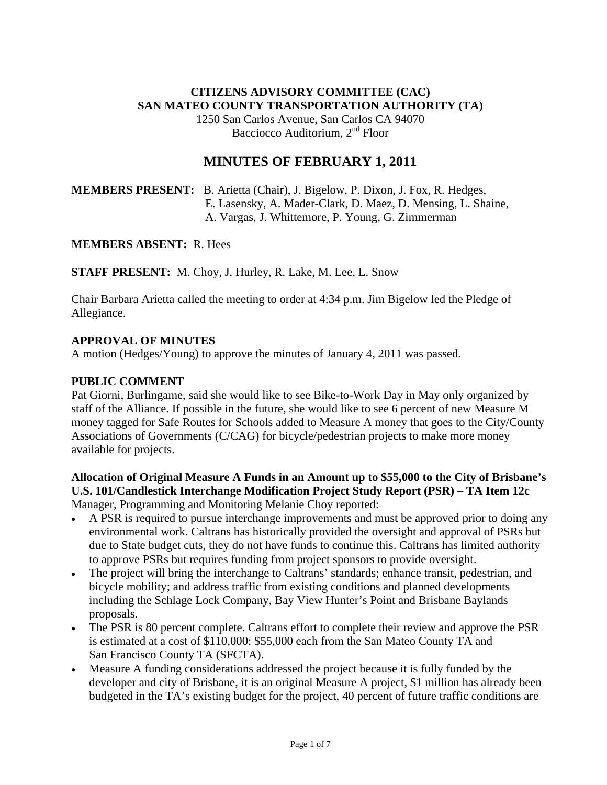# **CITIZENS ADVISORY COMMITTEE (CAC) SAN MATEO COUNTY TRANSPORTATION AUTHORITY (TA)**

1250 San Carlos Avenue, San Carlos CA 94070 Bacciocco Auditorium, 2<sup>nd</sup> Floor

# **MINUTES OF FEBRUARY 1, 2011**

**MEMBERS PRESENT:** B. Arietta (Chair), J. Bigelow, P. Dixon, J. Fox, R. Hedges, E. Lasensky, A. Mader-Clark, D. Maez, D. Mensing, L. Shaine, A. Vargas, J. Whittemore, P. Young, G. Zimmerman

### **MEMBERS ABSENT:** R. Hees

**STAFF PRESENT:** M. Choy, J. Hurley, R. Lake, M. Lee, L. Snow

Chair Barbara Arietta called the meeting to order at 4:34 p.m. Jim Bigelow led the Pledge of Allegiance.

# **APPROVAL OF MINUTES**

A motion (Hedges/Young) to approve the minutes of January 4, 2011 was passed.

### **PUBLIC COMMENT**

Pat Giorni, Burlingame, said she would like to see Bike-to-Work Day in May only organized by staff of the Alliance. If possible in the future, she would like to see 6 percent of new Measure M money tagged for Safe Routes for Schools added to Measure A money that goes to the City/County Associations of Governments (C/CAG) for bicycle/pedestrian projects to make more money available for projects.

### **Allocation of Original Measure A Funds in an Amount up to \$55,000 to the City of Brisbane's U.S. 101/Candlestick Interchange Modification Project Study Report (PSR) – TA Item 12c**  Manager, Programming and Monitoring Melanie Choy reported:

- A PSR is required to pursue interchange improvements and must be approved prior to doing any environmental work. Caltrans has historically provided the oversight and approval of PSRs but due to State budget cuts, they do not have funds to continue this. Caltrans has limited authority to approve PSRs but requires funding from project sponsors to provide oversight.
- The project will bring the interchange to Caltrans' standards; enhance transit, pedestrian, and bicycle mobility; and address traffic from existing conditions and planned developments including the Schlage Lock Company, Bay View Hunter's Point and Brisbane Baylands proposals.
- The PSR is 80 percent complete. Caltrans effort to complete their review and approve the PSR is estimated at a cost of \$110,000: \$55,000 each from the San Mateo County TA and San Francisco County TA (SFCTA).
- Measure A funding considerations addressed the project because it is fully funded by the developer and city of Brisbane, it is an original Measure A project, \$1 million has already been budgeted in the TA's existing budget for the project, 40 percent of future traffic conditions are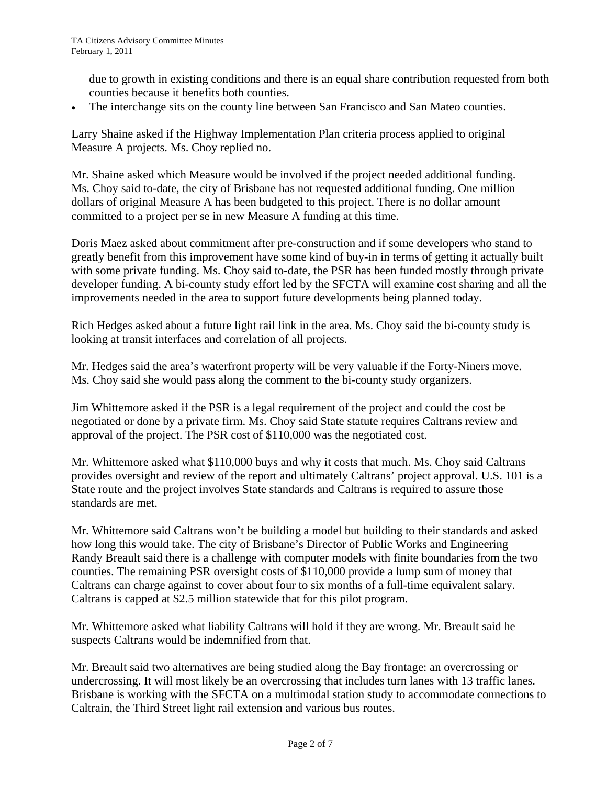due to growth in existing conditions and there is an equal share contribution requested from both counties because it benefits both counties.

The interchange sits on the county line between San Francisco and San Mateo counties.

Larry Shaine asked if the Highway Implementation Plan criteria process applied to original Measure A projects. Ms. Choy replied no.

Mr. Shaine asked which Measure would be involved if the project needed additional funding. Ms. Choy said to-date, the city of Brisbane has not requested additional funding. One million dollars of original Measure A has been budgeted to this project. There is no dollar amount committed to a project per se in new Measure A funding at this time.

Doris Maez asked about commitment after pre-construction and if some developers who stand to greatly benefit from this improvement have some kind of buy-in in terms of getting it actually built with some private funding. Ms. Choy said to-date, the PSR has been funded mostly through private developer funding. A bi-county study effort led by the SFCTA will examine cost sharing and all the improvements needed in the area to support future developments being planned today.

Rich Hedges asked about a future light rail link in the area. Ms. Choy said the bi-county study is looking at transit interfaces and correlation of all projects.

Mr. Hedges said the area's waterfront property will be very valuable if the Forty-Niners move. Ms. Choy said she would pass along the comment to the bi-county study organizers.

Jim Whittemore asked if the PSR is a legal requirement of the project and could the cost be negotiated or done by a private firm. Ms. Choy said State statute requires Caltrans review and approval of the project. The PSR cost of \$110,000 was the negotiated cost.

Mr. Whittemore asked what \$110,000 buys and why it costs that much. Ms. Choy said Caltrans provides oversight and review of the report and ultimately Caltrans' project approval. U.S. 101 is a State route and the project involves State standards and Caltrans is required to assure those standards are met.

Mr. Whittemore said Caltrans won't be building a model but building to their standards and asked how long this would take. The city of Brisbane's Director of Public Works and Engineering Randy Breault said there is a challenge with computer models with finite boundaries from the two counties. The remaining PSR oversight costs of \$110,000 provide a lump sum of money that Caltrans can charge against to cover about four to six months of a full-time equivalent salary. Caltrans is capped at \$2.5 million statewide that for this pilot program.

Mr. Whittemore asked what liability Caltrans will hold if they are wrong. Mr. Breault said he suspects Caltrans would be indemnified from that.

Mr. Breault said two alternatives are being studied along the Bay frontage: an overcrossing or undercrossing. It will most likely be an overcrossing that includes turn lanes with 13 traffic lanes. Brisbane is working with the SFCTA on a multimodal station study to accommodate connections to Caltrain, the Third Street light rail extension and various bus routes.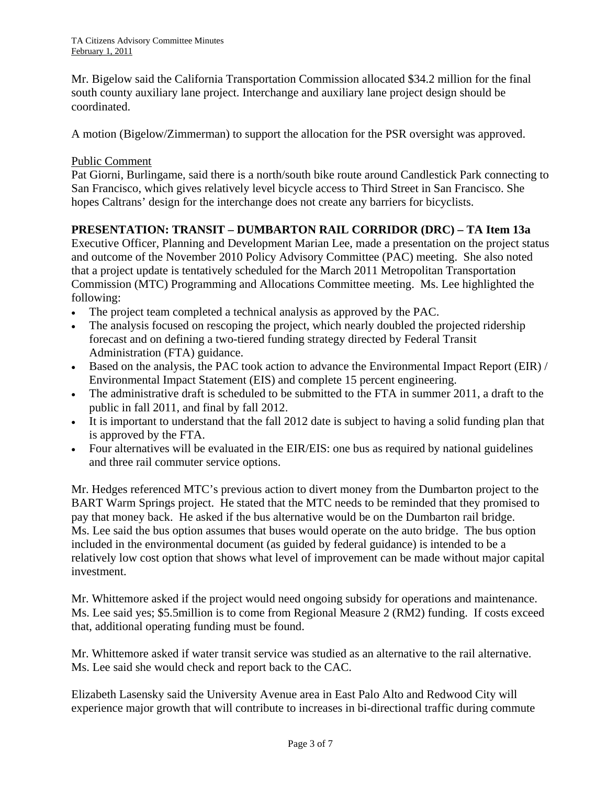Mr. Bigelow said the California Transportation Commission allocated \$34.2 million for the final south county auxiliary lane project. Interchange and auxiliary lane project design should be coordinated.

A motion (Bigelow/Zimmerman) to support the allocation for the PSR oversight was approved.

#### Public Comment

Pat Giorni, Burlingame, said there is a north/south bike route around Candlestick Park connecting to San Francisco, which gives relatively level bicycle access to Third Street in San Francisco. She hopes Caltrans' design for the interchange does not create any barriers for bicyclists.

# **PRESENTATION: TRANSIT – DUMBARTON RAIL CORRIDOR (DRC) – TA Item 13a**

Executive Officer, Planning and Development Marian Lee, made a presentation on the project status and outcome of the November 2010 Policy Advisory Committee (PAC) meeting. She also noted that a project update is tentatively scheduled for the March 2011 Metropolitan Transportation Commission (MTC) Programming and Allocations Committee meeting. Ms. Lee highlighted the following:

- The project team completed a technical analysis as approved by the PAC.
- The analysis focused on rescoping the project, which nearly doubled the projected ridership forecast and on defining a two-tiered funding strategy directed by Federal Transit Administration (FTA) guidance.
- Based on the analysis, the PAC took action to advance the Environmental Impact Report (EIR) / Environmental Impact Statement (EIS) and complete 15 percent engineering.
- The administrative draft is scheduled to be submitted to the FTA in summer 2011, a draft to the public in fall 2011, and final by fall 2012.
- It is important to understand that the fall 2012 date is subject to having a solid funding plan that is approved by the FTA.
- Four alternatives will be evaluated in the EIR/EIS: one bus as required by national guidelines and three rail commuter service options.

Mr. Hedges referenced MTC's previous action to divert money from the Dumbarton project to the BART Warm Springs project. He stated that the MTC needs to be reminded that they promised to pay that money back. He asked if the bus alternative would be on the Dumbarton rail bridge. Ms. Lee said the bus option assumes that buses would operate on the auto bridge. The bus option included in the environmental document (as guided by federal guidance) is intended to be a relatively low cost option that shows what level of improvement can be made without major capital investment.

Mr. Whittemore asked if the project would need ongoing subsidy for operations and maintenance. Ms. Lee said yes; \$5.5million is to come from Regional Measure 2 (RM2) funding. If costs exceed that, additional operating funding must be found.

Mr. Whittemore asked if water transit service was studied as an alternative to the rail alternative. Ms. Lee said she would check and report back to the CAC.

Elizabeth Lasensky said the University Avenue area in East Palo Alto and Redwood City will experience major growth that will contribute to increases in bi-directional traffic during commute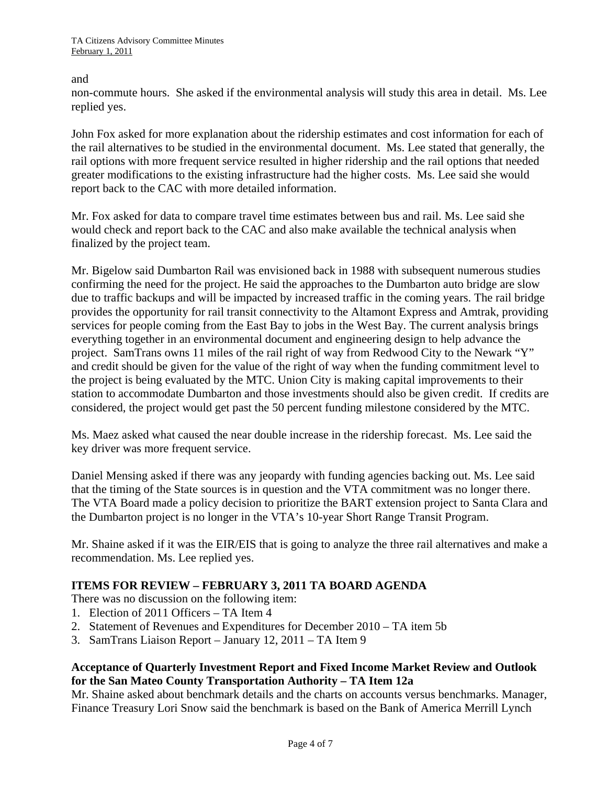and

non-commute hours. She asked if the environmental analysis will study this area in detail. Ms. Lee replied yes.

John Fox asked for more explanation about the ridership estimates and cost information for each of the rail alternatives to be studied in the environmental document. Ms. Lee stated that generally, the rail options with more frequent service resulted in higher ridership and the rail options that needed greater modifications to the existing infrastructure had the higher costs. Ms. Lee said she would report back to the CAC with more detailed information.

Mr. Fox asked for data to compare travel time estimates between bus and rail. Ms. Lee said she would check and report back to the CAC and also make available the technical analysis when finalized by the project team.

Mr. Bigelow said Dumbarton Rail was envisioned back in 1988 with subsequent numerous studies confirming the need for the project. He said the approaches to the Dumbarton auto bridge are slow due to traffic backups and will be impacted by increased traffic in the coming years. The rail bridge provides the opportunity for rail transit connectivity to the Altamont Express and Amtrak, providing services for people coming from the East Bay to jobs in the West Bay. The current analysis brings everything together in an environmental document and engineering design to help advance the project. SamTrans owns 11 miles of the rail right of way from Redwood City to the Newark "Y" and credit should be given for the value of the right of way when the funding commitment level to the project is being evaluated by the MTC. Union City is making capital improvements to their station to accommodate Dumbarton and those investments should also be given credit. If credits are considered, the project would get past the 50 percent funding milestone considered by the MTC.

Ms. Maez asked what caused the near double increase in the ridership forecast. Ms. Lee said the key driver was more frequent service.

Daniel Mensing asked if there was any jeopardy with funding agencies backing out. Ms. Lee said that the timing of the State sources is in question and the VTA commitment was no longer there. The VTA Board made a policy decision to prioritize the BART extension project to Santa Clara and the Dumbarton project is no longer in the VTA's 10-year Short Range Transit Program.

Mr. Shaine asked if it was the EIR/EIS that is going to analyze the three rail alternatives and make a recommendation. Ms. Lee replied yes.

# **ITEMS FOR REVIEW – FEBRUARY 3, 2011 TA BOARD AGENDA**

There was no discussion on the following item:

- 1. Election of 2011 Officers TA Item 4
- 2. Statement of Revenues and Expenditures for December 2010 TA item 5b
- 3. SamTrans Liaison Report January 12, 2011 TA Item 9

### **Acceptance of Quarterly Investment Report and Fixed Income Market Review and Outlook for the San Mateo County Transportation Authority – TA Item 12a**

Mr. Shaine asked about benchmark details and the charts on accounts versus benchmarks. Manager, Finance Treasury Lori Snow said the benchmark is based on the Bank of America Merrill Lynch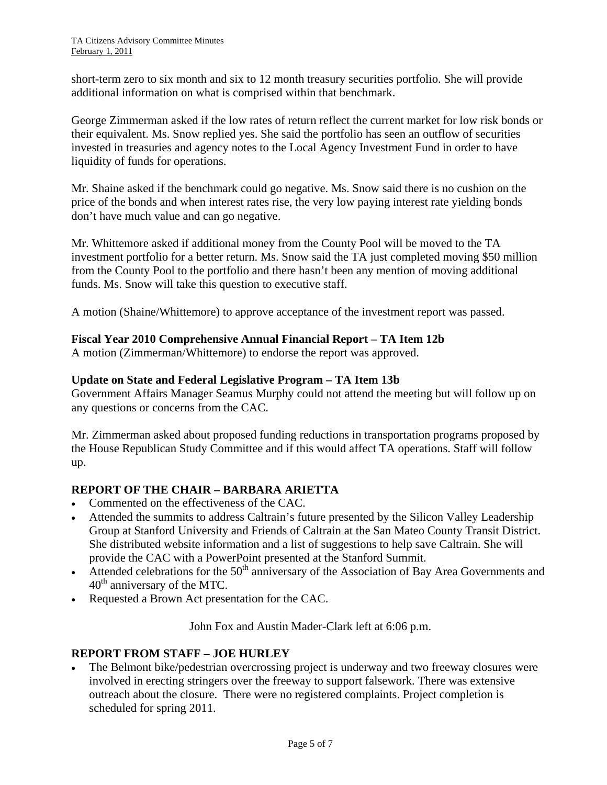short-term zero to six month and six to 12 month treasury securities portfolio. She will provide additional information on what is comprised within that benchmark.

George Zimmerman asked if the low rates of return reflect the current market for low risk bonds or their equivalent. Ms. Snow replied yes. She said the portfolio has seen an outflow of securities invested in treasuries and agency notes to the Local Agency Investment Fund in order to have liquidity of funds for operations.

Mr. Shaine asked if the benchmark could go negative. Ms. Snow said there is no cushion on the price of the bonds and when interest rates rise, the very low paying interest rate yielding bonds don't have much value and can go negative.

Mr. Whittemore asked if additional money from the County Pool will be moved to the TA investment portfolio for a better return. Ms. Snow said the TA just completed moving \$50 million from the County Pool to the portfolio and there hasn't been any mention of moving additional funds. Ms. Snow will take this question to executive staff.

A motion (Shaine/Whittemore) to approve acceptance of the investment report was passed.

### **Fiscal Year 2010 Comprehensive Annual Financial Report – TA Item 12b**

A motion (Zimmerman/Whittemore) to endorse the report was approved.

#### **Update on State and Federal Legislative Program – TA Item 13b**

Government Affairs Manager Seamus Murphy could not attend the meeting but will follow up on any questions or concerns from the CAC.

Mr. Zimmerman asked about proposed funding reductions in transportation programs proposed by the House Republican Study Committee and if this would affect TA operations. Staff will follow up.

#### **REPORT OF THE CHAIR – BARBARA ARIETTA**

- Commented on the effectiveness of the CAC.
- Attended the summits to address Caltrain's future presented by the Silicon Valley Leadership Group at Stanford University and Friends of Caltrain at the San Mateo County Transit District. She distributed website information and a list of suggestions to help save Caltrain. She will provide the CAC with a PowerPoint presented at the Stanford Summit.
- Attended celebrations for the  $50<sup>th</sup>$  anniversary of the Association of Bay Area Governments and  $40<sup>th</sup>$  anniversary of the MTC.
- Requested a Brown Act presentation for the CAC.

John Fox and Austin Mader-Clark left at 6:06 p.m.

# **REPORT FROM STAFF – JOE HURLEY**

• The Belmont bike/pedestrian overcrossing project is underway and two freeway closures were involved in erecting stringers over the freeway to support falsework. There was extensive outreach about the closure. There were no registered complaints. Project completion is scheduled for spring 2011.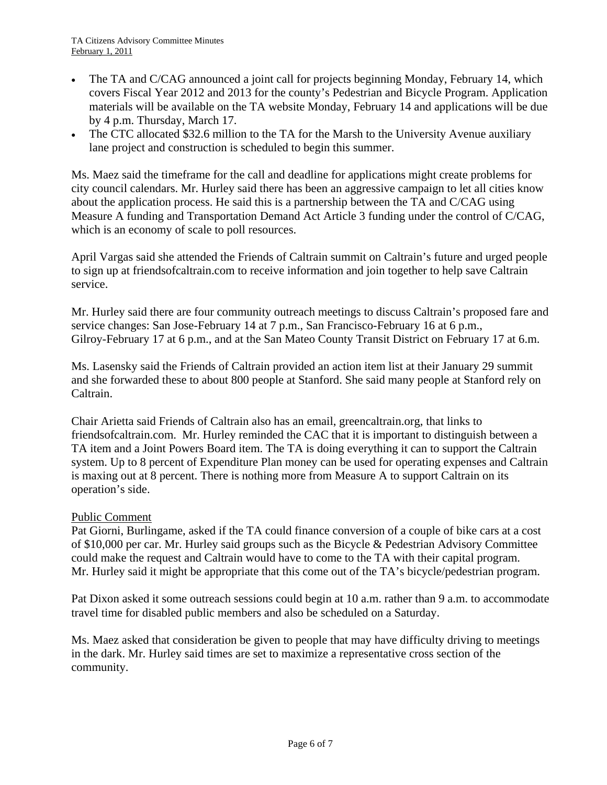- The TA and C/CAG announced a joint call for projects beginning Monday, February 14, which covers Fiscal Year 2012 and 2013 for the county's Pedestrian and Bicycle Program. Application materials will be available on the TA website Monday, February 14 and applications will be due by 4 p.m. Thursday, March 17.
- The CTC allocated \$32.6 million to the TA for the Marsh to the University Avenue auxiliary lane project and construction is scheduled to begin this summer.

Ms. Maez said the timeframe for the call and deadline for applications might create problems for city council calendars. Mr. Hurley said there has been an aggressive campaign to let all cities know about the application process. He said this is a partnership between the TA and C/CAG using Measure A funding and Transportation Demand Act Article 3 funding under the control of C/CAG, which is an economy of scale to poll resources.

April Vargas said she attended the Friends of Caltrain summit on Caltrain's future and urged people to sign up at friendsofcaltrain.com to receive information and join together to help save Caltrain service.

Mr. Hurley said there are four community outreach meetings to discuss Caltrain's proposed fare and service changes: San Jose-February 14 at 7 p.m., San Francisco-February 16 at 6 p.m., Gilroy-February 17 at 6 p.m., and at the San Mateo County Transit District on February 17 at 6.m.

Ms. Lasensky said the Friends of Caltrain provided an action item list at their January 29 summit and she forwarded these to about 800 people at Stanford. She said many people at Stanford rely on Caltrain.

Chair Arietta said Friends of Caltrain also has an email, greencaltrain.org, that links to friendsofcaltrain.com. Mr. Hurley reminded the CAC that it is important to distinguish between a TA item and a Joint Powers Board item. The TA is doing everything it can to support the Caltrain system. Up to 8 percent of Expenditure Plan money can be used for operating expenses and Caltrain is maxing out at 8 percent. There is nothing more from Measure A to support Caltrain on its operation's side.

#### Public Comment

Pat Giorni, Burlingame, asked if the TA could finance conversion of a couple of bike cars at a cost of \$10,000 per car. Mr. Hurley said groups such as the Bicycle & Pedestrian Advisory Committee could make the request and Caltrain would have to come to the TA with their capital program. Mr. Hurley said it might be appropriate that this come out of the TA's bicycle/pedestrian program.

Pat Dixon asked it some outreach sessions could begin at 10 a.m. rather than 9 a.m. to accommodate travel time for disabled public members and also be scheduled on a Saturday.

Ms. Maez asked that consideration be given to people that may have difficulty driving to meetings in the dark. Mr. Hurley said times are set to maximize a representative cross section of the community.